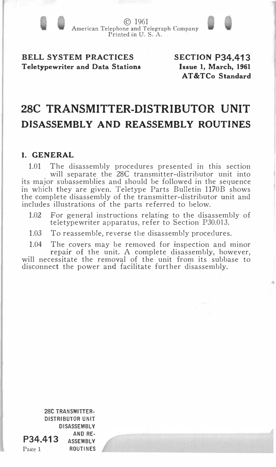© 1961 American Telephone and Telegraph Company Printed in U.S. A.

# BELL SYSTEM PRACTICES Teletypewriter and Data Stations

SECTION P34.413 Issue 1, March, 1961 AT&TCo Standard

..

# 28C TRANSMITTER-DISTRIBUTOR UNIT DISASSEMBLY AND REASSEMBLY ROUTINES

# 1. GENERAL

1.01 The disassembly procedures presented in this section will separate the 28C transmitter-distributor unit into its major subassemblies and should be followed in the sequence in which they are given. Teletype Parts Bulletin 1170B shows the complete disassembly of the transmitter-distributor unit and includes illustrations of the parts referred to below.

- 1.02 For general instructions relating to the disassembly of teletypewriter apparatus, refer to Section P30.013.
- 1.03 To reassemble, reverse the disassembly procedures.
- 1.04 The covers may be removed for inspection and minor repair of the unit. A complete disassembly, however, will necessitate the removal of the unit from its subbase to disconnect the power and facilitate further disassembly.

28C TRANSMITTER· DISTRIBUTOR UNIT DISASSEMBLY **P34.413** AND RE-**ASSEMBLY** Page 1 ROUTINES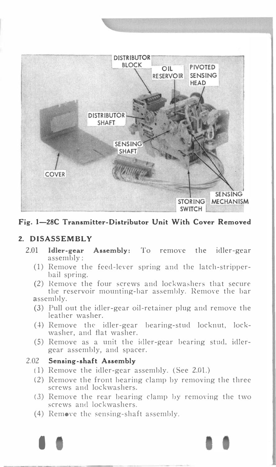



## 2. DISASSEMBLY

- 2.01 Idler-gear Assembly: To remove the idler-gear assembly:
	- (1) Remove the feed-lever spring and the latch-stripperbail spring.
	- (2) Remove the four screws and lockwashers that secure the reservoir mounting-bar assembly. Remove the bar assembly.
	- (3) Pull out the idler-gear oil-retainer plug and remove the leather washer.
	- (4) Remove the idler-gear bearing-stud locknut, lockwasher, and flat washer.
	- (5) Remove as a unit the idler-gear bearing stud, idlergear assembly, and spacer.

#### 2.02 Sensing-shaft Assembly

- (1) Remove the idler-gear assembly. (See 2.01.)
- (2) Remove the front bearing clamp by removing the three screws and lockwashers.
- (3) Remove the rear bearing clamp by removing the two screws and lockwashers.
- $(4)$  Remove the sensing-shaft assembly.

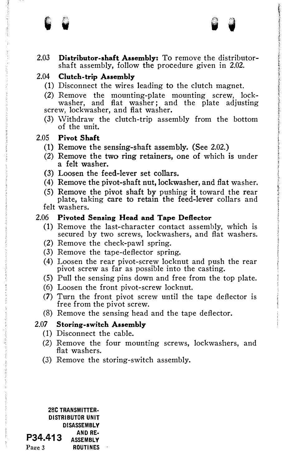2.03 Distributor-shaft Assembly: To remove the distributorshaft assembly, follow the procedure given in 2.02.

# 2.04 Clutch-trip Assembly

- (1) Disconnect the wires leading to the clutch magnet.
- (2) Remove the mounting-plate mounting screw, lockwasher, and flat washer; and the plate adjusting screw, lockwasher, and flat washer.
- (3) Withdraw the clutch-trip assembly from the bottom of the unit.

#### 2.05 Pivot Shaft

'

- (1) Remove the sensing-shaft assembly. (See 2.02.)
- (2) Remove the two ring retainers, one of which is under a felt washer.
- (3) Loosen the feed-lever set collars.
- (4) Remove the pivot-shaft nut, lockwasher, and flat washer.
- (5) Remove the pivot shaft by pushing it toward the rear plate, taking care to retain the feed-lever collars and felt washers.

#### 2.06 Pivoted Sensing Head and Tape Deflector

- (1) Remove the last-character contact assembly, which is secured by two screws, lockwashers, and flat washers.
- (2) Remove the check-pawl spring.
- (3) Remove the tape-deflector spring.
- (4) Loosen the rear pivot-screw locknut and push the rear pivot screw as far as possible into the casting.
- (5) Pull the sensing pins down and free from the top plate.
- (6) Loosen the front pivot-screw locknut.
- (7) Turn the front pivot screw until the tape deflector is free from the pivot screw.
- (8) Remove the sensing head and the tape deflector.

#### 2.07 Storing-switch Assembly

- (1) Disconnect the cable.
- (2) Remove the four mounting screws, lockwashers, and flat washers.
- (3) Remove the storing-switch assembly.

28C TRANSMITTER· DISTRIBUTOR UNIT DISASSEMBLY AND RE·  $P34.413$   $ANSENBLY$ </u> Page 3 ROUTINES